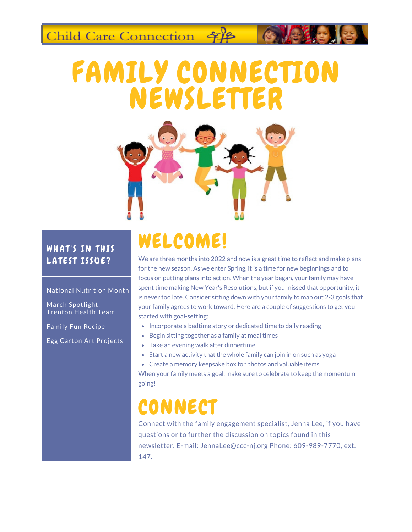Child Care Connection \$18

# FAMILY CONNECTION NEWSLETTER



### WHAT'S IN THIS LATEST ISSUE?

#### National Nutrition Month

March Spotlight: Trenton Health Team

Family Fun Recipe

Egg Carton Art Projects

## WELCOME!

We are three months into 2022 and now is a great time to reflect and make plans for the new season. As we enter Spring, it is a time for new beginnings and to focus on putting plans into action. When the year began, your family may have spent time making New Year's Resolutions, but if you missed that opportunity, it is never too late. Consider sitting down with your family to map out 2-3 goals that your family agrees to work toward. Here are a couple of suggestions to get you started with goal-setting:

- Incorporate a bedtime story or dedicated time to daily reading
- Begin sitting together as a family at meal times
- Take an evening walk after dinnertime
- Start a new activity that the whole family can join in on such as yoga

Create a memory keepsake box for photos and valuable items When your family meets a goal, make sure to celebrate to keep the momentum going!

## **CONNECT**

Connect with the family engagement specialist, Jenna Lee, if you have questions or to further the discussion on topics found in this newsletter. E-mail: JennaLee@ccc-nj.org Phone: 609-989-7770, ext. 147.